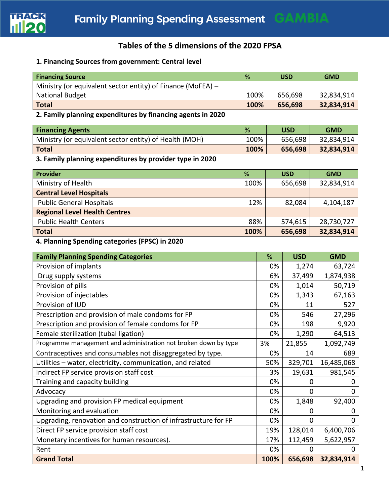

## **Tables of the 5 dimensions of the 2020 FPSA**

## **1. Financing Sources from government: Central level**

| <b>Financing Source</b>                                     | %    | <b>USD</b> | <b>GMD</b> |
|-------------------------------------------------------------|------|------------|------------|
| Ministry (or equivalent sector entity) of Finance (MoFEA) – |      |            |            |
| <b>National Budget</b>                                      | 100% | 656,698    | 32,834,914 |
| <b>Total</b>                                                | 100% | 656,698    | 32,834,914 |

## **2. Family planning expenditures by financing agents in 2020**

| <b>Financing Agents</b>                                | %    | USD     | <b>GMD</b> |
|--------------------------------------------------------|------|---------|------------|
| Ministry (or equivalent sector entity) of Health (MOH) | 100% | 656,698 | 32,834,914 |
| <b>Total</b>                                           | 100% | 656,698 | 32,834,914 |

# **3. Family planning expenditures by provider type in 2020**

| <b>Provider</b>                      | %    | <b>USD</b> | <b>GMD</b> |
|--------------------------------------|------|------------|------------|
| Ministry of Health                   | 100% | 656,698    | 32,834,914 |
| <b>Central Level Hospitals</b>       |      |            |            |
| <b>Public General Hospitals</b>      | 12%  | 82,084     | 4,104,187  |
| <b>Regional Level Health Centres</b> |      |            |            |
| <b>Public Health Centers</b>         | 88%  | 574,615    | 28,730,727 |
| <b>Total</b>                         | 100% | 656,698    | 32,834,914 |

#### **4. Planning Spending categories (FPSC) in 2020**

| <b>Family Planning Spending Categories</b>                      | %    | <b>USD</b> | <b>GMD</b> |
|-----------------------------------------------------------------|------|------------|------------|
| Provision of implants                                           | 0%   | 1,274      | 63,724     |
| Drug supply systems                                             | 6%   | 37,499     | 1,874,938  |
| Provision of pills                                              | 0%   | 1,014      | 50,719     |
| Provision of injectables                                        | 0%   | 1,343      | 67,163     |
| Provision of IUD                                                | 0%   | 11         | 527        |
| Prescription and provision of male condoms for FP               | 0%   | 546        | 27,296     |
| Prescription and provision of female condoms for FP             | 0%   | 198        | 9,920      |
| Female sterilization (tubal ligation)                           | 0%   | 1,290      | 64,513     |
| Programme management and administration not broken down by type | 3%   | 21,855     | 1,092,749  |
| Contraceptives and consumables not disaggregated by type.       | 0%   | 14         | 689        |
| Utilities - water, electricity, communication, and related      | 50%  | 329,701    | 16,485,068 |
| Indirect FP service provision staff cost                        | 3%   | 19,631     | 981,545    |
| Training and capacity building                                  | 0%   | 0          | O          |
| Advocacy                                                        | 0%   | 0          | 0          |
| Upgrading and provision FP medical equipment                    | 0%   | 1,848      | 92,400     |
| Monitoring and evaluation                                       | 0%   | $\Omega$   | 0          |
| Upgrading, renovation and construction of infrastructure for FP | 0%   | ი          | 0          |
| Direct FP service provision staff cost                          | 19%  | 128,014    | 6,400,706  |
| Monetary incentives for human resources).                       | 17%  | 112,459    | 5,622,957  |
| Rent                                                            | 0%   | 0          | 0          |
| <b>Grand Total</b>                                              | 100% | 656,698    | 32,834,914 |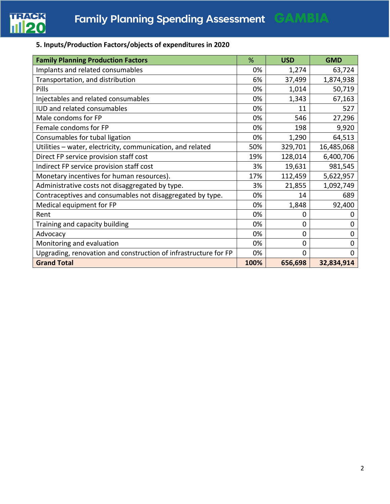

## **5. Inputs/Production Factors/objects of expenditures in 2020**

| <b>Family Planning Production Factors</b>                       | %    | <b>USD</b>     | <b>GMD</b>  |
|-----------------------------------------------------------------|------|----------------|-------------|
| Implants and related consumables                                | 0%   | 1,274          | 63,724      |
| Transportation, and distribution                                | 6%   | 37,499         | 1,874,938   |
| <b>Pills</b>                                                    | 0%   | 1,014          | 50,719      |
| Injectables and related consumables                             | 0%   | 1,343          | 67,163      |
| IUD and related consumables                                     | 0%   | 11             | 527         |
| Male condoms for FP                                             | 0%   | 546            | 27,296      |
| Female condoms for FP                                           | 0%   | 198            | 9,920       |
| Consumables for tubal ligation                                  | 0%   | 1,290          | 64,513      |
| Utilities - water, electricity, communication, and related      | 50%  | 329,701        | 16,485,068  |
| Direct FP service provision staff cost                          | 19%  | 128,014        | 6,400,706   |
| Indirect FP service provision staff cost                        | 3%   | 19,631         | 981,545     |
| Monetary incentives for human resources).                       | 17%  | 112,459        | 5,622,957   |
| Administrative costs not disaggregated by type.                 | 3%   | 21,855         | 1,092,749   |
| Contraceptives and consumables not disaggregated by type.       | 0%   | 14             | 689         |
| Medical equipment for FP                                        | 0%   | 1,848          | 92,400      |
| Rent                                                            | 0%   | 0              | 0           |
| Training and capacity building                                  | 0%   | 0              | 0           |
| Advocacy                                                        | 0%   | $\overline{0}$ | $\mathbf 0$ |
| Monitoring and evaluation                                       | 0%   | 0              | 0           |
| Upgrading, renovation and construction of infrastructure for FP | 0%   | $\Omega$       | $\Omega$    |
| <b>Grand Total</b>                                              | 100% | 656,698        | 32,834,914  |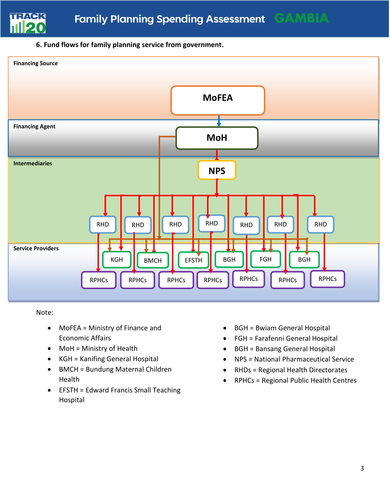

#### **6. Fund flows for family planning service from government.**



Note:

- MoFEA = Ministry of Finance and Economic Affairs
- MoH = Ministry of Health
- KGH = Kanifing General Hospital
- BMCH = Bundung Maternal Children Health
- EFSTH = Edward Francis Small Teaching Hospital
- BGH = Bwiam General Hospital
- FGH = Farafenni General Hospital
- BGH = Bansang General Hospital
- NPS = National Pharmaceutical Service
- RHDs = Regional Health Directorates
- RPHCs = Regional Public Health Centres